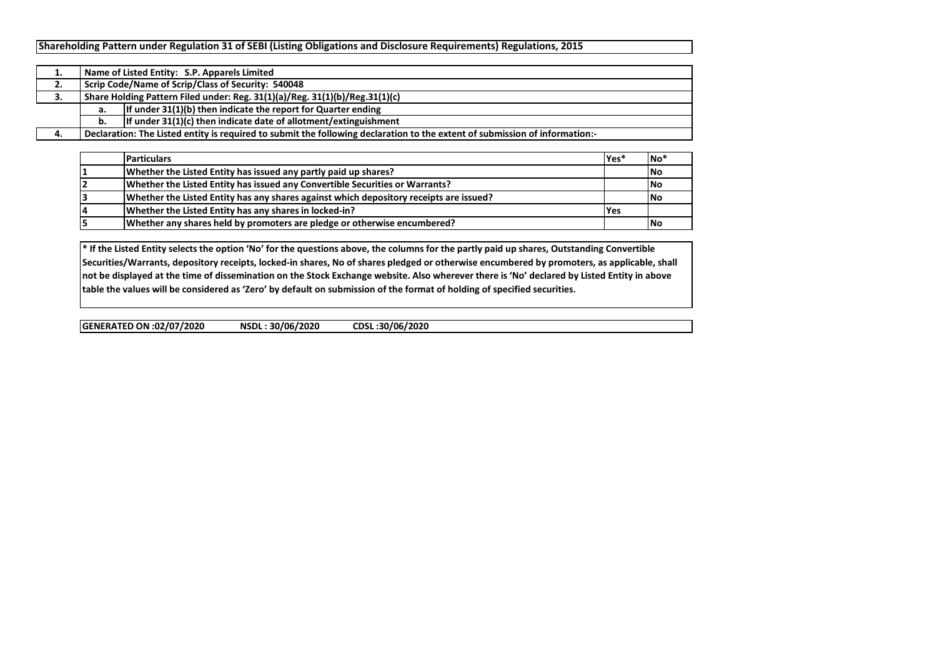|    |                                                                             | Name of Listed Entity: S.P. Apparels Limited                                                                                |  |  |  |  |  |  |  |  |  |  |
|----|-----------------------------------------------------------------------------|-----------------------------------------------------------------------------------------------------------------------------|--|--|--|--|--|--|--|--|--|--|
| ۷. | Scrip Code/Name of Scrip/Class of Security: 540048                          |                                                                                                                             |  |  |  |  |  |  |  |  |  |  |
| J. | Share Holding Pattern Filed under: Reg. 31(1)(a)/Reg. 31(1)(b)/Reg.31(1)(c) |                                                                                                                             |  |  |  |  |  |  |  |  |  |  |
|    | а.                                                                          | If under $31(1)(b)$ then indicate the report for Quarter ending                                                             |  |  |  |  |  |  |  |  |  |  |
|    | b.                                                                          | If under $31(1)(c)$ then indicate date of allotment/extinguishment                                                          |  |  |  |  |  |  |  |  |  |  |
|    |                                                                             | Declaration: The Listed entity is required to submit the following declaration to the extent of submission of information:- |  |  |  |  |  |  |  |  |  |  |

| <b>Particulars</b>                                                                     | lYes* | <b>INo</b> * |
|----------------------------------------------------------------------------------------|-------|--------------|
| Whether the Listed Entity has issued any partly paid up shares?                        |       | No           |
| Whether the Listed Entity has issued any Convertible Securities or Warrants?           |       | <b>INo</b>   |
| Whether the Listed Entity has any shares against which depository receipts are issued? |       | <b>INo</b>   |
| Whether the Listed Entity has any shares in locked-in?                                 | l Yes |              |
| Whether any shares held by promoters are pledge or otherwise encumbered?               |       | <b>INo</b>   |

**\* If the Listed Entity selects the option 'No' for the questions above, the columns for the partly paid up shares, Outstanding Convertible Securities/Warrants, depository receipts, locked-in shares, No of shares pledged or otherwise encumbered by promoters, as applicable, shall not be displayed at the time of dissemination on the Stock Exchange website. Also wherever there is 'No' declared by Listed Entity in above table the values will be considered as 'Zero' by default on submission of the format of holding of specified securities.**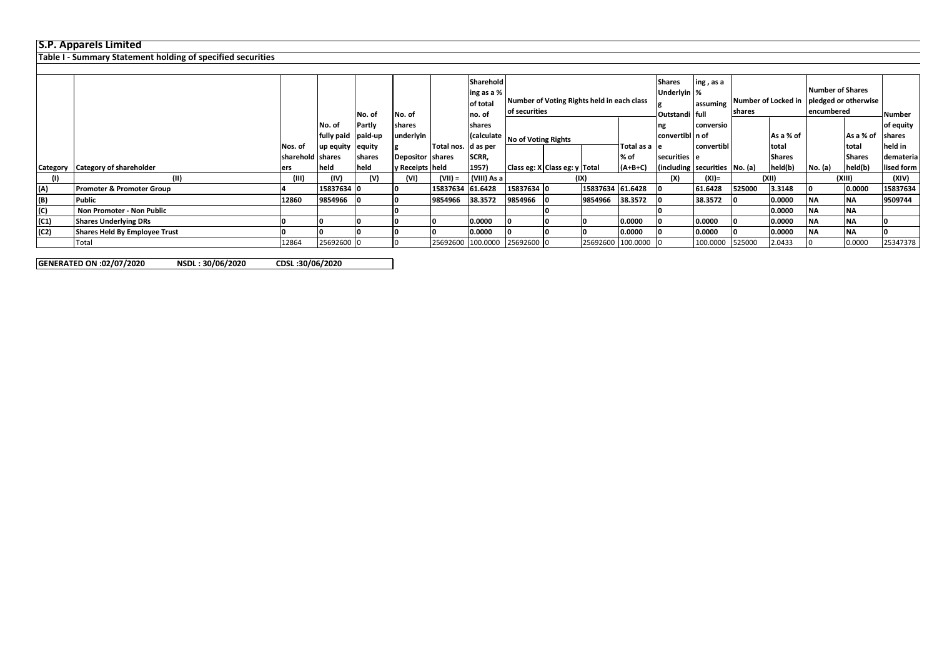## **S.P. Apparels Limited**

**Table I - Summary Statement holding of specified securities**

|                |                                      |                    |                    |        |                  |                       | Sharehold   |                                  |               |                                            |               | <b>Shares</b><br>ing, as a            |            |                               |                         |                      |               |               |  |  |  |  |          |  |       |        |  |       |
|----------------|--------------------------------------|--------------------|--------------------|--------|------------------|-----------------------|-------------|----------------------------------|---------------|--------------------------------------------|---------------|---------------------------------------|------------|-------------------------------|-------------------------|----------------------|---------------|---------------|--|--|--|--|----------|--|-------|--------|--|-------|
|                |                                      |                    |                    |        |                  |                       | ing as a %  |                                  |               |                                            | Underlyin %   |                                       |            |                               | <b>Number of Shares</b> |                      |               |               |  |  |  |  |          |  |       |        |  |       |
|                |                                      |                    |                    |        |                  |                       | of total    |                                  |               | Number of Voting Rights held in each class |               |                                       |            | lassuming Number of Locked in |                         | pledged or otherwise |               |               |  |  |  |  |          |  |       |        |  |       |
|                |                                      |                    |                    | No. of | No. of           |                       | Ino. of     |                                  | of securities |                                            |               | Outstandi full                        |            | <b>shares</b>                 |                         | encumbered           |               | Number        |  |  |  |  |          |  |       |        |  |       |
|                |                                      |                    | No. of             | Partly | shares           |                       | shares      |                                  |               |                                            |               | ng                                    | conversio  |                               |                         |                      |               | of equity     |  |  |  |  |          |  |       |        |  |       |
|                |                                      |                    | fully paid paid-up |        | underlyin        |                       |             | (calculate   No of Voting Rights |               |                                            |               | convertibl n of                       |            |                               | As a % of               |                      | As a % of     | <b>shares</b> |  |  |  |  |          |  |       |        |  |       |
|                |                                      | Nos. of            | up equity equity   |        |                  | Total nos.   d as per |             |                                  |               |                                            | Total as a le |                                       | convertibl |                               | total                   |                      | Itotal        | held in       |  |  |  |  |          |  |       |        |  |       |
|                |                                      | Isharehold Ishares |                    | shares | Depositor shares |                       | SCRR,       |                                  |               |                                            | % of          | securities e                          |            |                               | <b>Shares</b>           |                      | <b>Shares</b> | demateria     |  |  |  |  |          |  |       |        |  |       |
| Category       | <b>Category of shareholder</b>       | lers               | held               | held   | y Receipts held  |                       | 1957)       | Class eg: X Class eg: y Total    |               |                                            | $(A+B+C)$     | $ $ (including securities $ No. (a) $ |            |                               | held(b)                 | No. (a)              | held(b)       | lised form    |  |  |  |  |          |  |       |        |  |       |
| (1)            | (II)                                 | (III)              | (IV)               | (V)    | (VI)             | (VII) =               | (VIII) As a |                                  | (IX)          |                                            |               |                                       |            |                               |                         |                      |               |               |  |  |  |  | $(XI) =$ |  | (XII) | (XIII) |  | (XIV) |
| (A)            | <b>Promoter &amp; Promoter Group</b> |                    | 15837634 0         |        |                  | 15837634 61.6428      |             | 15837634 0                       |               | 15837634 61.6428                           |               |                                       | 61.6428    | 525000                        | 3.3148                  |                      | 0.0000        | 15837634      |  |  |  |  |          |  |       |        |  |       |
| (B)            | Public                               | 12860              | 9854966            |        | 10               | 9854966               | 38.3572     | 9854966                          |               | 9854966                                    | 38.3572       |                                       | 38.3572    |                               | 0.0000                  | ΝA                   | <b>INA</b>    | 9509744       |  |  |  |  |          |  |       |        |  |       |
| $\overline{c}$ | Non Promoter - Non Public            |                    |                    |        |                  |                       |             |                                  |               |                                            |               |                                       |            |                               | 0.0000                  | ΝA                   | <b>INA</b>    |               |  |  |  |  |          |  |       |        |  |       |
| (C1)           | <b>Shares Underlying DRs</b>         |                    |                    |        |                  |                       | 0.0000      |                                  |               |                                            | 0.0000        |                                       | 0.0000     |                               | 0.0000                  | ΝA                   | <b>INA</b>    |               |  |  |  |  |          |  |       |        |  |       |
| (C2)           | <b>Shares Held By Employee Trust</b> |                    |                    |        | 10               |                       | 0.0000      |                                  |               |                                            | 0.0000        |                                       | 0.0000     |                               | 0.0000                  | ΝA                   | <b>INA</b>    |               |  |  |  |  |          |  |       |        |  |       |
|                | Total                                | 12864              | 25692600 0         |        | I ()             |                       |             | 25692600 100.0000 25692600 0     |               | 25692600 100.0000                          |               |                                       | 100.0000   | 525000                        | 2.0433                  |                      | 0.0000        | 25347378      |  |  |  |  |          |  |       |        |  |       |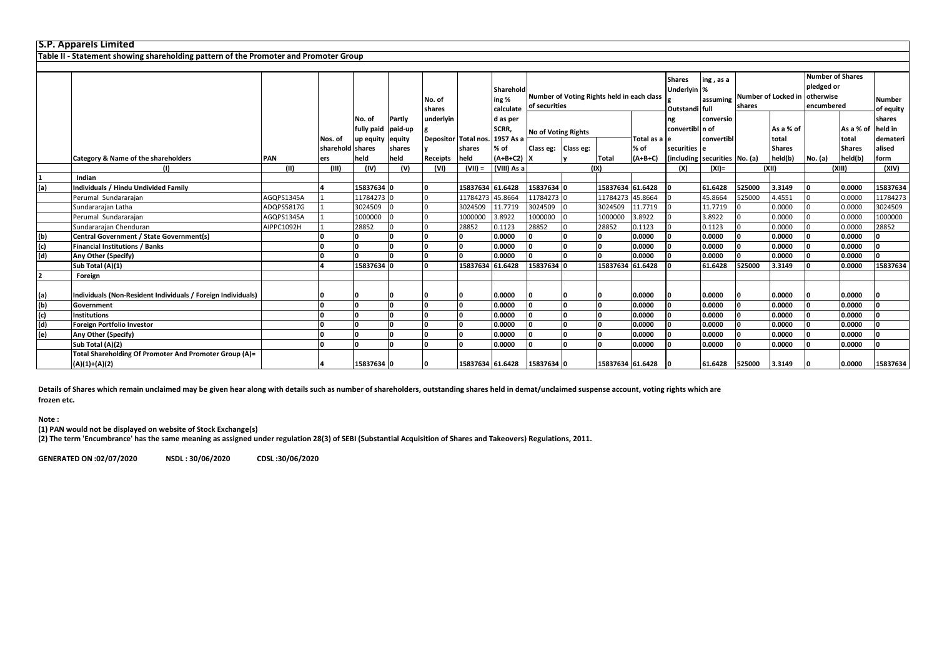|                | <b>S.P. Apparels Limited</b>                                                         |            |                             |            |                  |                  |                      |                                 |                                                             |  |                  |                       |                                                |                       |        |                        |                                                                                      |                        |                            |
|----------------|--------------------------------------------------------------------------------------|------------|-----------------------------|------------|------------------|------------------|----------------------|---------------------------------|-------------------------------------------------------------|--|------------------|-----------------------|------------------------------------------------|-----------------------|--------|------------------------|--------------------------------------------------------------------------------------|------------------------|----------------------------|
|                | Table II - Statement showing shareholding pattern of the Promoter and Promoter Group |            |                             |            |                  |                  |                      |                                 |                                                             |  |                  |                       |                                                |                       |        |                        |                                                                                      |                        |                            |
|                |                                                                                      |            |                             |            |                  |                  |                      |                                 |                                                             |  |                  |                       |                                                |                       |        |                        |                                                                                      |                        |                            |
|                |                                                                                      |            |                             |            |                  | No. of<br>shares |                      | Sharehold<br>ing %<br>calculate | Number of Voting Rights held in each class<br>of securities |  |                  |                       | <b>Shares</b><br>Underlyin %<br>Outstandi full | ing, as a<br>assuming | shares |                        | <b>Number of Shares</b><br>pledged or<br>Number of Locked in otherwise<br>encumbered |                        | <b>Number</b><br>of equity |
|                |                                                                                      |            |                             | No. of     | Partly           | underlyin        |                      | d as per                        |                                                             |  |                  |                       | ng                                             | conversio             |        |                        |                                                                                      |                        | shares                     |
|                |                                                                                      |            |                             | fully paid | paid-up          |                  |                      | SCRR,                           | <b>No of Voting Rights</b>                                  |  |                  |                       | convertibl n of                                |                       |        | As a % of              |                                                                                      | As a % of              | held in                    |
|                |                                                                                      |            | Nos. of<br>sharehold shares | up equity  | equity<br>shares |                  | Depositor Total nos. | 1957 As a<br>% of               | Class eg: Class eg:                                         |  |                  | Total as a le<br>% of | securities e                                   | convertibl            |        | total<br><b>Shares</b> |                                                                                      | total<br><b>Shares</b> | demateri<br>alised         |
|                | Category & Name of the shareholders                                                  | PAN        | ers                         | held       | held             | Receipts         | shares<br>held       | $(A+B+C2)$                      |                                                             |  | <b>Total</b>     | $(A+B+C)$             | (including securities No. (a)                  |                       |        | held(b)                | No. (a)                                                                              | held(b)                | form                       |
|                | (I)                                                                                  | (11)       | (III)                       | (IV)       | (V)              | (VI)             | $(VII) =$            | (VIII) As a                     |                                                             |  | (IX)             |                       | (X)                                            | $(XI) =$              |        | (X  )                  | (XIII)                                                                               |                        | (XIV)                      |
|                | Indian                                                                               |            |                             |            |                  |                  |                      |                                 |                                                             |  |                  |                       |                                                |                       |        |                        |                                                                                      |                        |                            |
| (a)            | Individuals / Hindu Undivided Family                                                 |            |                             | 15837634 0 |                  |                  | 15837634 61.6428     |                                 | 15837634 0                                                  |  | 15837634 61.6428 |                       |                                                | 61.6428               | 525000 | 3.3149                 |                                                                                      | 0.0000                 | 15837634                   |
|                | Perumal Sundararajan                                                                 | AGQPS1345A |                             | 11784273 0 |                  |                  | 11784273 45.8664     |                                 | 11784273                                                    |  | 11784273 45.8664 |                       |                                                | 45.8664               | 525000 | 4.4551                 |                                                                                      | 0.0000                 | 11784273                   |
|                | Sundararajan Latha                                                                   | ADQPS5817G |                             | 3024509    |                  |                  | 3024509              | 11.7719                         | 3024509                                                     |  | 3024509          | 11.7719               |                                                | 11.7719               |        | 0.0000                 |                                                                                      | 0.0000                 | 3024509                    |
|                | Perumal Sundararajan                                                                 | AGQPS1345A |                             | 1000000    |                  |                  | 1000000              | 3.8922                          | 1000000                                                     |  | 1000000          | 3.8922                |                                                | 3.8922                |        | 0.0000                 |                                                                                      | 0.0000                 | 1000000                    |
|                | Sundararajan Chenduran                                                               | AIPPC1092H |                             | 28852      |                  |                  | 28852                | 0.1123                          | 28852                                                       |  | 28852            | 0.1123                |                                                | 0.1123                |        | 0.0000                 |                                                                                      | 0.0000                 | 28852                      |
| (b)            | Central Government / State Government(s)                                             |            |                             | $\Omega$   |                  |                  |                      | 0.0000                          |                                                             |  | n                | 0.0000                |                                                | 0.0000                |        | 0.0000                 |                                                                                      | 0.0000                 | n                          |
| (c)            | <b>Financial Institutions / Banks</b>                                                |            |                             | ١o         |                  |                  |                      | 0.0000                          | ۱n.                                                         |  | <sup>0</sup>     | 0.0000                |                                                | 0.0000                |        | 0.0000                 |                                                                                      | 0.0000                 | O                          |
| (d)            | Any Other (Specify)                                                                  |            |                             | $\Omega$   |                  |                  |                      | 0.0000                          | n                                                           |  | $\Omega$         | 0.0000                |                                                | 0.0000                |        | 0.0000                 |                                                                                      | 0.0000                 | n.                         |
|                | Sub Total (A)(1)                                                                     |            |                             | 15837634 0 |                  |                  | 15837634 61.6428     |                                 | 15837634                                                    |  | 15837634 61.6428 |                       |                                                | 61.6428               | 525000 | 3.3149                 |                                                                                      | 0.0000                 | 15837634                   |
| $\overline{2}$ | Foreign                                                                              |            |                             |            |                  |                  |                      |                                 |                                                             |  |                  |                       |                                                |                       |        |                        |                                                                                      |                        |                            |
|                |                                                                                      |            |                             |            |                  |                  |                      |                                 |                                                             |  |                  |                       |                                                |                       |        |                        |                                                                                      |                        |                            |
| (a)            | Individuals (Non-Resident Individuals / Foreign Individuals)                         |            |                             |            |                  |                  |                      | 0.0000                          |                                                             |  |                  | 0.0000                |                                                | 0.0000                |        | 0.0000                 |                                                                                      | 0.0000                 |                            |
| (b)            | Government                                                                           |            | n                           | I۵         |                  |                  |                      | 0.0000                          | ١n                                                          |  |                  | 0.0000                |                                                | 0.0000                |        | 0.0000                 |                                                                                      | 0.0000                 | n                          |
| (c)            | <b>Institutions</b>                                                                  |            |                             | ۱n         |                  |                  |                      | 0.0000                          |                                                             |  |                  | 0.0000                |                                                | 0.0000                |        | 0.0000                 |                                                                                      | 0.0000                 | n                          |
| (d)            | Foreign Portfolio Investor                                                           |            | n                           | ۱o         | ١n               |                  |                      | 0.0000                          | n                                                           |  | <sup>0</sup>     | 0.0000                |                                                | 0.0000                |        | 0.0000                 |                                                                                      | 0.0000                 | n                          |
| (e)            | Any Other (Specify)                                                                  |            |                             | ١n         |                  |                  | I٥                   | 0.0000                          |                                                             |  | ۱n.              | 0.0000                |                                                | 0.0000                |        | 0.0000                 |                                                                                      | 0.0000                 | n                          |
|                | Sub Total (A)(2)                                                                     |            |                             | ۱n         |                  |                  |                      | 0.0000                          |                                                             |  | ۱n.              | 0.0000                |                                                | 0.0000                |        | 0.0000                 |                                                                                      | 0.0000                 | n                          |
|                | Total Shareholding Of Promoter And Promoter Group (A)=<br>$(A)(1)+(A)(2)$            |            |                             | 15837634 0 |                  |                  | 15837634 61.6428     |                                 | 15837634 0                                                  |  | 15837634 61.6428 |                       |                                                | 61.6428               | 525000 | 3.3149                 |                                                                                      | 0.0000                 | 15837634                   |

**Details of Shares which remain unclaimed may be given hear along with details such as number of shareholders, outstanding shares held in demat/unclaimed suspense account, voting rights which are frozen etc.**

## **Note :**

**(1) PAN would not be displayed on website of Stock Exchange(s)** 

**(2) The term 'Encumbrance' has the same meaning as assigned under regulation 28(3) of SEBI (Substantial Acquisition of Shares and Takeovers) Regulations, 2011.**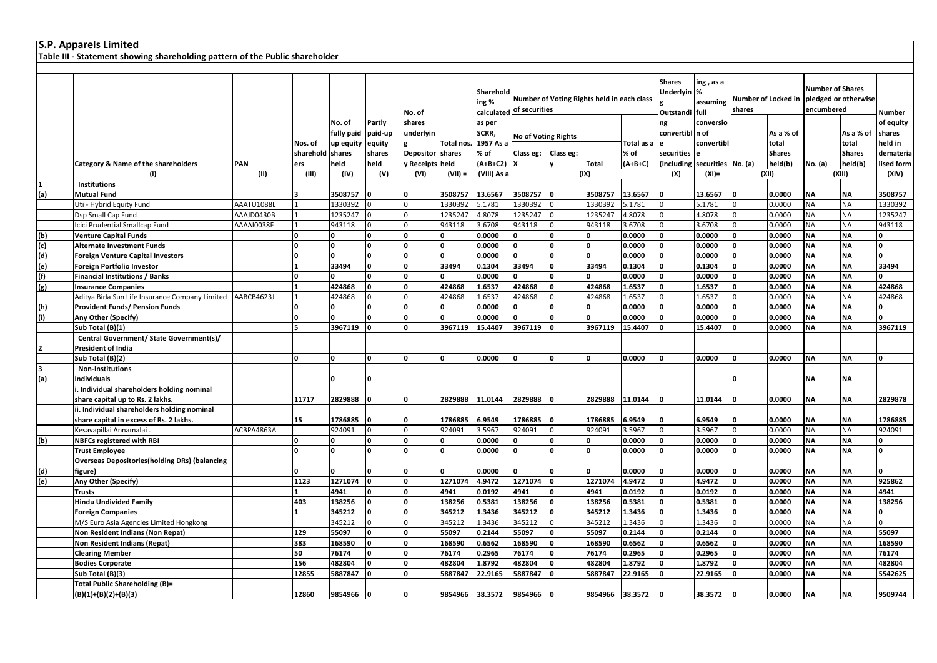|                | <b>S.P. Apparels Limited</b>                                                 |            |              |            |                |                  |              |                    |                            |                |                                            |            |                                                |                        |                               |               |                                                               |               |            |
|----------------|------------------------------------------------------------------------------|------------|--------------|------------|----------------|------------------|--------------|--------------------|----------------------------|----------------|--------------------------------------------|------------|------------------------------------------------|------------------------|-------------------------------|---------------|---------------------------------------------------------------|---------------|------------|
|                | Table III - Statement showing shareholding pattern of the Public shareholder |            |              |            |                |                  |              |                    |                            |                |                                            |            |                                                |                        |                               |               |                                                               |               |            |
|                |                                                                              |            |              |            |                |                  |              |                    |                            |                |                                            |            |                                                |                        |                               |               |                                                               |               |            |
|                |                                                                              |            |              |            |                | No. of           |              | Sharehold<br>ing % | calculated of securities   |                | Number of Voting Rights held in each class |            | <b>Shares</b><br>Underlyin %<br>Outstandi full | ing , as a<br>assuming | Number of Locked in<br>shares |               | <b>Number of Shares</b><br>pledged or otherwise<br>encumbered |               | Number     |
|                |                                                                              |            |              | No. of     | Partly         | shares           |              | as per             |                            |                |                                            |            | ng                                             | conversio              |                               |               |                                                               |               | of equity  |
|                |                                                                              |            |              | fully paid | paid-up        | underlyin        |              | SCRR,              |                            |                |                                            |            | convertibl n of                                |                        |                               | As a % of     |                                                               | As a % of     | shares     |
|                |                                                                              |            | Nos. of      | up equity  | equity         |                  | Total nos.   | 1957 As a          | <b>No of Voting Rights</b> |                |                                            | Total as a |                                                | convertibl             |                               | total         |                                                               | total         | held in    |
|                |                                                                              |            | sharehold    | shares     | shares         | <b>Depositor</b> | shares       | % of               | Class eg:                  | Class eg:      |                                            | % of       | securities                                     |                        |                               | <b>Shares</b> |                                                               | <b>Shares</b> | demateria  |
|                | <b>Category &amp; Name of the shareholders</b>                               | PAN        | ers          | held       | held           | v Receipts held  |              | (A+B+C2)           | ΙX                         | l۷             | Total                                      | $(A+B+C)$  | including                                      | securities No. (a)     |                               | held(b)       | No. (a)                                                       | held(b)       | lised form |
|                | (1)                                                                          | (II)       | (III)        | (IV)       | (V)            | (VI)             | $(VII) =$    | (VIII) As a        |                            |                | (IX)                                       |            | (X)                                            | $(XI) =$               |                               | (XII)         |                                                               | (XIII)        | (XIV)      |
|                | <b>Institutions</b>                                                          |            |              |            |                |                  |              |                    |                            |                |                                            |            |                                                |                        |                               |               |                                                               |               |            |
| (a)            | <b>Mutual Fund</b>                                                           |            |              | 3508757    | $\mathbf{0}$   | ١o               | 3508757      | 13.6567            | 3508757                    | lo             | 3508757                                    | 13.6567    |                                                | 13.6567                |                               | 0.0000        | <b>NA</b>                                                     | <b>NA</b>     | 3508757    |
|                | Uti - Hybrid Equity Fund                                                     | AAATU1088L |              | 1330392    | $\overline{0}$ |                  | 1330392      | 5.1781             | 1330392                    | l0             | 1330392                                    | 5.1781     | U                                              | 5.1781                 |                               | 0.0000        | <b>NA</b>                                                     | <b>NA</b>     | 1330392    |
|                | Dsp Small Cap Fund                                                           | AAAJD0430B |              | 1235247    |                |                  | 1235247      | 4.8078             | 1235247                    |                | 1235247                                    | 4.8078     |                                                | 4.8078                 |                               | 0.0000        | <b>NA</b>                                                     | <b>NA</b>     | 1235247    |
|                | Icici Prudential Smallcap Fund                                               | AAAAI0038F |              | 943118     |                |                  | 943118       | 3.6708             | 943118                     | $\Omega$       | 943118                                     | 3.6708     |                                                | 3.6708                 |                               | 0.0000        | <b>NA</b>                                                     | <b>NA</b>     | 943118     |
| (b)            | <b>Venture Capital Funds</b>                                                 |            | $\Omega$     |            | $\mathbf 0$    | $\mathbf{r}$     | n            | 0.0000             | O                          | 0              |                                            | 0.0000     | l n                                            | 0.0000                 |                               | 0.0000        | <b>NA</b>                                                     | <b>NA</b>     | l O        |
| (c)            | Alternate Investment Funds                                                   |            | $\Omega$     | O          | I٥             | $\Omega$         | O            | 0.0000             | O                          | o              |                                            | 0.0000     | 0                                              | 0.0000                 |                               | 0.0000        | <b>NA</b>                                                     | <b>NA</b>     | 0          |
| (d)            | <b>Foreign Venture Capital Investors</b>                                     |            | U            |            | O              |                  | $\mathbf{0}$ | 0.0000             | O                          | I٥             |                                            | 0.0000     | $\Omega$                                       | 0.0000                 |                               | 0.0000        | ΝA                                                            | <b>NA</b>     | o          |
| (e)            | Foreign Portfolio Investor                                                   |            |              | 33494      | 0              | ١o               | 33494        | 0.1304             | 33494                      | O              | 33494                                      | 0.1304     | $\Omega$                                       | 0.1304                 |                               | 0.0000        | <b>NA</b>                                                     | <b>NA</b>     | 33494      |
| (f)            | <b>Financial Institutions / Banks</b>                                        |            | $\Omega$     |            | 0              | ١o               | 0            | 0.0000             | l0.                        | o              |                                            | 0.0000     | ١o                                             | 0.0000                 |                               | 0.0000        | <b>NA</b>                                                     | <b>NA</b>     | 0          |
| (g)            | <b>Insurance Companies</b>                                                   |            |              | 424868     | 0              | ١o               | 424868       | 1.6537             | 424868                     | ١o             | 424868                                     | 1.6537     | l0                                             | 1.6537                 |                               | 0.0000        | <b>NA</b>                                                     | <b>NA</b>     | 424868     |
|                | Aditya Birla Sun Life Insurance Company Limited                              | AABCB4623J |              | 424868     |                |                  | 424868       | 1.6537             | 424868                     | $\Omega$       | 424868                                     | .6537      |                                                | 1.6537                 |                               | 0.0000        | ΝA                                                            | <b>NA</b>     | 424868     |
| (h)            | <b>Provident Funds/ Pension Funds</b>                                        |            | $\mathbf{0}$ |            | $\mathbf{0}$   | $\Omega$         |              | 0.0000             | 0                          | O              |                                            | 0.0000     |                                                | 0.0000                 |                               | 0.0000        | ΝA                                                            | <b>NA</b>     | ١o         |
| (i)            | Any Other (Specify)                                                          |            | O            |            | o              | ١o               | n            | 0.0000             | $\Omega$                   | o              | $\Omega$                                   | 0.0000     |                                                | 0.0000                 |                               | 0.0000        | <b>NA</b>                                                     | <b>NA</b>     | o          |
|                | Sub Total (B)(1)                                                             |            |              | 3967119    | 0              |                  | 3967119      | 15.4407            | 3967119                    | lo             | 3967119                                    | 15.4407    |                                                | 15.4407                |                               | 0.0000        | <b>NA</b>                                                     | <b>NA</b>     | 3967119    |
|                | Central Government/ State Government(s)/                                     |            |              |            |                |                  |              |                    |                            |                |                                            |            |                                                |                        |                               |               |                                                               |               |            |
| $\overline{2}$ | President of India                                                           |            |              |            |                |                  |              |                    |                            |                |                                            |            |                                                |                        |                               |               |                                                               |               |            |
|                | Sub Total (B)(2)                                                             |            | n            | <b>n</b>   | I٥             |                  | n            | 0.0000             | O                          | I٥             | O                                          | 0.0000     | <sup>0</sup>                                   | 0.0000                 |                               | 0.0000        | <b>NA</b>                                                     | <b>NA</b>     | o          |
| 3              | <b>Non-Institutions</b>                                                      |            |              |            |                |                  |              |                    |                            |                |                                            |            |                                                |                        |                               |               |                                                               |               |            |
| (a)            | <b>Individuals</b>                                                           |            |              |            | $\Omega$       |                  |              |                    |                            |                |                                            |            |                                                |                        |                               |               | <b>NA</b>                                                     | <b>NA</b>     |            |
|                | Individual shareholders holding nominal                                      |            |              |            |                |                  |              |                    |                            |                |                                            |            |                                                |                        |                               |               |                                                               |               |            |
|                | share capital up to Rs. 2 lakhs.                                             |            | 11717        | 2829888    |                |                  | 2829888      | 11.0144            | 2829888                    |                | 2829888                                    | 11.0144    |                                                | 11.0144                |                               | 0.0000        | NΑ                                                            | <b>NA</b>     | 2829878    |
|                | ii. Individual shareholders holding nominal                                  |            |              |            |                |                  |              |                    |                            |                |                                            |            |                                                |                        |                               |               |                                                               |               |            |
|                | share capital in excess of Rs. 2 lakhs.                                      |            | 15           | 1786885    |                |                  | 1786885      | 6.9549             | 1786885                    |                | 1786885                                    | 6.9549     |                                                | 6.9549                 |                               | 0.0000        | ΝA                                                            | <b>NA</b>     | 1786885    |
|                | Kesavapillai Annamalai                                                       | ACBPA4863A |              | 924091     |                |                  | 924091       | 3.5967             | 924091                     | $\Omega$       | 924091                                     | 3.5967     |                                                | 3.5967                 |                               | 0.0000        | NA                                                            | <b>NA</b>     | 924091     |
| (b)            | <b>NBFCs registered with RBI</b>                                             |            | O            |            | O              |                  |              | 0.0000             | 0                          | 0              |                                            | 0.0000     |                                                | 0.0000                 |                               | 0.0000        | <b>NA</b>                                                     | <b>NA</b>     | 0          |
|                | <b>Trust Employee</b>                                                        |            | $\Omega$     |            | $\Omega$       |                  | n            | 0.0000             | l0.                        | 0              |                                            | 0.0000     |                                                | 0.0000                 |                               | 0.0000        | ΝA                                                            | <b>NA</b>     | 0          |
|                | <b>Overseas Depositories(holding DRs) (balancing</b>                         |            |              |            |                |                  |              |                    |                            |                |                                            |            |                                                |                        |                               |               |                                                               |               |            |
| (d)            | figure)                                                                      |            |              |            |                |                  | n            | 0.0000             | <sup>n</sup>               |                |                                            | 0.0000     |                                                | 0.0000                 |                               | 0.0000        | ΝA                                                            | <b>NA</b>     | ١n         |
| (e)            | Any Other (Specify)                                                          |            | 1123         | 1271074    | 0              | n                | 1271074      | 4.9472             | 1271074                    | ١o             | 1271074                                    | 4.9472     | O                                              | 4.9472                 |                               | 0.0000        | ΝA                                                            | <b>NA</b>     | 925862     |
|                | <b>Trusts</b>                                                                |            |              | 4941       | $\mathbf{0}$   |                  | 4941         | 0.0192             | 4941                       | ۱o             | 4941                                       | 0.0192     |                                                | 0.0192                 |                               | 0.0000        | <b>NA</b>                                                     | <b>NA</b>     | 4941       |
|                | <b>Hindu Undivided Family</b>                                                |            | 403          | 138256     | 0              |                  | 138256       | 0.5381             | 138256                     | O              | 138256                                     | 0.5381     |                                                | 0.5381                 |                               | 0.0000        | <b>NA</b>                                                     | <b>NA</b>     | 138256     |
|                | <b>Foreign Companies</b>                                                     |            |              | 345212     | 0              | ١o               | 345212       | 1.3436             | 345212                     | ۱o             | 345212                                     | 1.3436     |                                                | 1.3436                 |                               | 0.0000        | <b>NA</b>                                                     | <b>NA</b>     | 0          |
|                | M/S Euro Asia Agencies Limited Hongkong                                      |            |              | 345212     | $\overline{0}$ |                  | 345212       | 1.3436             | 345212                     | $\overline{0}$ | 345212                                     | 1.3436     |                                                | 1.3436                 |                               | 0.0000        | <b>NA</b>                                                     | <b>NA</b>     | 0          |
|                | Non Resident Indians (Non Repat)                                             |            | 129          | 55097      | 0              | O                | 55097        | 0.2144             | 55097                      | 0              | 55097                                      | 0.2144     | $\Omega$                                       | 0.2144                 |                               | 0.0000        | <b>NA</b>                                                     | <b>NA</b>     | 55097      |
|                | Non Resident Indians (Repat)                                                 |            | 383          | 168590     | o              | ١o               | 168590       | 0.6562             | 168590                     | O              | 168590                                     | 0.6562     | $\Omega$                                       | 0.6562                 |                               | 0.0000        | ΝA                                                            | <b>NA</b>     | 168590     |
|                | <b>Clearing Member</b>                                                       |            | 50           | 76174      | $\mathbf 0$    | ١o               | 76174        | 0.2965             | 76174                      | 0              | 76174                                      | 0.2965     | 0                                              | 0.2965                 |                               | 0.0000        | <b>NA</b>                                                     | <b>NA</b>     | 76174      |
|                | <b>Bodies Corporate</b>                                                      |            | 156          | 482804     | $\mathbf 0$    | ١o               | 482804       | 1.8792             | 482804                     | O              | 482804                                     | 1.8792     | I٥                                             | 1.8792                 |                               | 0.0000        | <b>NA</b>                                                     | <b>NA</b>     | 482804     |
|                | Sub Total (B)(3)                                                             |            | 12855        | 5887847    |                |                  | 5887847      | 22.9165            | 5887847                    | n              | 5887847                                    | 22.9165    |                                                | 22.9165                |                               | 0.0000        | ΝA                                                            | <b>NA</b>     | 5542625    |
|                | Total Public Shareholding (B)=                                               |            |              |            |                |                  |              |                    |                            |                |                                            |            |                                                |                        |                               |               |                                                               |               |            |
|                | (B)(1)+(B)(2)+(B)(3)                                                         |            | 12860        | 9854966    | O              | <sup>0</sup>     | 9854966      | 38.3572            | 9854966                    |                | 9854966                                    | 38.3572    |                                                | 38.3572                | l O                           | 0.0000        | <b>NA</b>                                                     | <b>NA</b>     | 9509744    |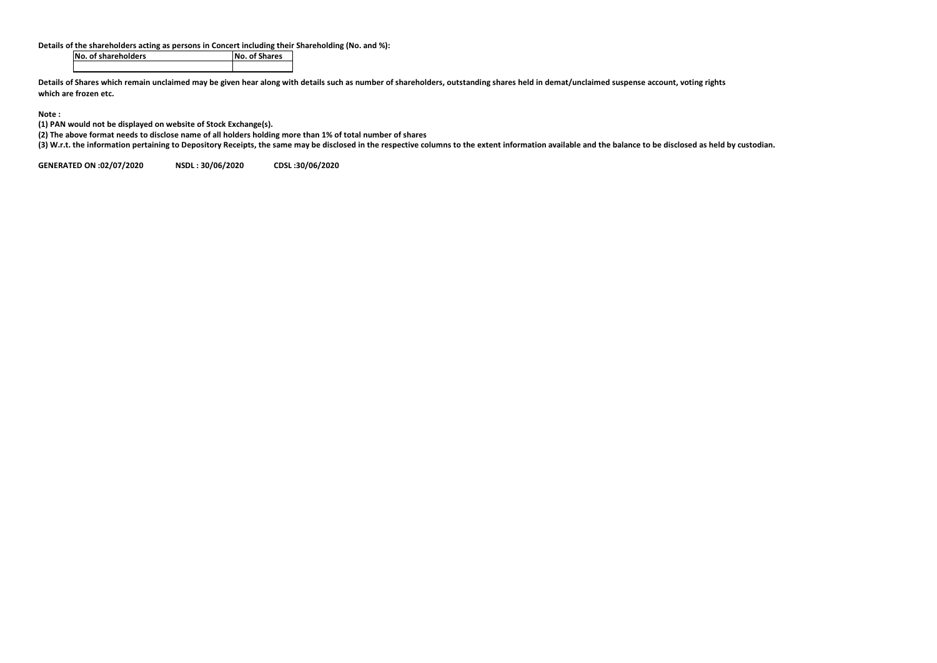**Details of the shareholders acting as persons in Concert including their Shareholding (No. and %):**<br>No. of Shares

**No. of shareholders No. of Shares**

**Details of Shares which remain unclaimed may be given hear along with details such as number of shareholders, outstanding shares held in demat/unclaimed suspense account, voting rights which are frozen etc.**

**Note :**

**(1) PAN would not be displayed on website of Stock Exchange(s).** 

**(2) The above format needs to disclose name of all holders holding more than 1% of total number of shares**

**(3) W.r.t. the information pertaining to Depository Receipts, the same may be disclosed in the respective columns to the extent information available and the balance to be disclosed as held by custodian.**